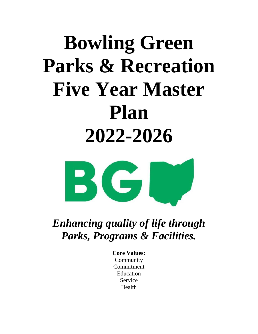# **Bowling Green Parks & Recreation Five Year Master Plan 2022-2026**



*Enhancing quality of life through Parks, Programs & Facilities.*

> **Core Values:** Community Commitment Education Service Health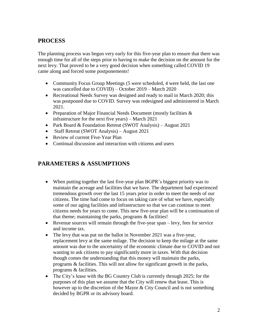#### **PROCESS**

The planning process was begun very early for this five-year plan to ensure that there was enough time for all of the steps prior to having to make the decision on the amount for the next levy. That proved to be a very good decision when something called COVID 19 came along and forced some postponements!

- Community Focus Group Meetings (5 were scheduled, 4 were held, the last one was cancelled due to COVID) – October 2019 – March 2020
- Recreational Needs Survey was designed and ready to mail in March 2020; this was postponed due to COVID. Survey was redesigned and administered in March 2021.
- Preparation of Major Financial Needs Document (mostly facilities  $\&$ infrastructure for the next five years) – March 2021
- Park Board & Foundation Retreat (SWOT Analysis) August 2021
- Staff Retreat (SWOT Analysis) August 2021
- Review of current Five-Year Plan
- Continual discussion and interaction with citizens and users

#### **PARAMETERS & ASSUMPTIONS**

- When putting together the last five-year plan BGPR's biggest priority was to maintain the acreage and facilities that we have. The department had experienced tremendous growth over the last 15 years prior in order to meet the needs of our citizens. The time had come to focus on taking care of what we have, especially some of our aging facilities and infrastructure so that we can continue to meet citizens needs for years to come. This new five-year plan will be a continuation of that theme; maintaining the parks, programs & facilities!
- Revenue sources will remain through the five-year span levy, fees for service and income tax.
- The levy that was put on the ballot in November 2021 was a five-year, replacement levy at the same milage. The decision to keep the milage at the same amount was due to the uncertainty of the economic climate due to COVID and not wanting to ask citizens to pay significantly more in taxes. With that decision though comes the understanding that this money will maintain the parks, programs & facilities. This will not allow for significant growth in the parks, programs & facilities.
- The City's lease with the BG Country Club is currently through 2025; for the purposes of this plan we assume that the City will renew that lease. This is however up to the discretion of the Mayor & City Council and is not something decided by BGPR or its advisory board.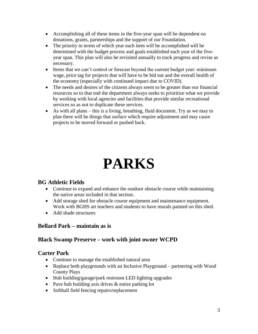- Accomplishing all of these items in the five-year span will be dependent on donations, grants, partnerships and the support of our Foundation.
- The priority in terms of which year each item will be accomplished will be determined with the budget process and goals established each year of the fiveyear span. This plan will also be revisited annually to track progress and revise as necessary.
- Items that we can't control or forecast beyond the current budget year: minimum wage, price tag for projects that will have to be bid out and the overall health of the economy (especially with continued impact due to COVID).
- The needs and desires of the citizens always seem to be greater than our financial resources so to that end the department always seeks to prioritize what we provide by working with local agencies and facilities that provide similar recreational services so as not to duplicate these services.
- As with all plans this is a living, breathing, fluid document. Try as we may to plan there will be things that surface which require adjustment and may cause projects to be moved forward or pushed back.

## **PARKS**

#### **BG Athletic Fields**

- Continue to expand and enhance the outdoor obstacle course while maintaining the native areas included in that section.
- Add storage shed for obstacle course equipment and maintenance equipment. Work with BGHS art teachers and students to have murals painted on this shed.
- Add shade structures

#### **Bellard Park – maintain as is**

#### **Black Swamp Preserve – work with joint owner WCPD**

#### **Carter Park**

- Continue to manage the established natural area
- Replace both playgrounds with an Inclusive Playground partnering with Wood County Plays
- Hub building/garage/park restroom LED lighting upgrades
- Pave hub building axis drives & entire parking lot
- Softball field fencing repairs/replacement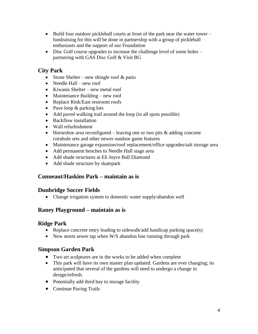- Build four outdoor pickleball courts at front of the park near the water tower fundraising for this will be done in partnership with a group of pickleball enthusiasts and the support of our Foundation
- Disc Golf course upgrades to increase the challenge level of some holes partnering with GAS Disc Golf & Visit BG

#### **City Park**

- Stone Shelter new shingle roof  $\&$  patio
- Needle Hall new roof
- Kiwanis Shelter new metal roof
- Maintenance Building new roof
- Replace Rink/East restroom roofs
- Pave loop & parking lots
- Add paved walking trail around the loop (in all spots possible)
- Backflow installation
- Wall refurbishment
- Horseshoe area reconfigured leaving one or two pits  $\&$  adding concrete cornhole sets and other newer outdoor game features
- Maintenance garage expansion/roof replacement/office upgrades/salt storage area
- Add permanent benches to Needle Hall stage area
- Add shade structures at Eli Joyce Ball Diamond
- Add shade structure by skatepark

#### **Conneaut/Haskins Park – maintain as is**

#### **Dunbridge Soccer Fields**

• Change irrigation system to domestic water supply/abandon well

#### **Raney Playground – maintain as is**

#### **Ridge Park**

- Replace concrete entry leading to sidewalk/add handicap parking space(s)
- New storm sewer tap when W/S abandon line running through park

#### **Simpson Garden Park**

- Two art sculptures are in the works to be added when complete
- This park will have its own master plan updated. Gardens are ever changing; its anticipated that several of the gardens will need to undergo a change in design/refresh.
- Potentially add third bay to storage facility
- Continue Paving Trails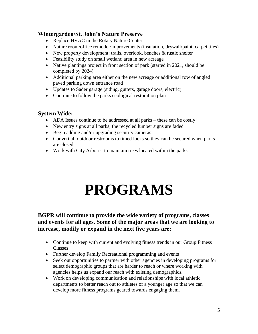#### **Wintergarden/St. John's Nature Preserve**

- Replace HVAC in the Rotary Nature Center
- Nature room/office remodel/improvements (insulation, drywall/paint, carpet tiles)
- New property development: trails, overlook, benches & rustic shelter
- Feasibility study on small wetland area in new acreage
- Native plantings project in front section of park (started in 2021, should be completed by 2024)
- Additional parking area either on the new acreage or additional row of angled paved parking down entrance road
- Updates to Sader garage (siding, gutters, garage doors, electric)
- Continue to follow the parks ecological restoration plan

#### **System Wide:**

- ADA Issues continue to be addressed at all parks these can be costly!
- New entry signs at all parks; the recycled lumber signs are faded
- Begin adding and/or upgrading security cameras
- Convert all outdoor restrooms to timed locks so they can be secured when parks are closed
- Work with City Arborist to maintain trees located within the parks

### **PROGRAMS**

#### **BGPR will continue to provide the wide variety of programs, classes and events for all ages. Some of the major areas that we are looking to increase, modify or expand in the next five years are:**

- Continue to keep with current and evolving fitness trends in our Group Fitness Classes
- Further develop Family Recreational programming and events
- Seek out opportunities to partner with other agencies in developing programs for select demographic groups that are harder to reach or where working with agencies helps us expand our reach with existing demographics.
- Work on developing communication and relationships with local athletic departments to better reach out to athletes of a younger age so that we can develop more fitness programs geared towards engaging them.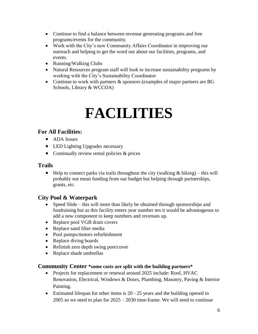- Continue to find a balance between revenue generating programs and free programs/events for the community.
- Work with the City's new Community Affairs Coordinator in improving our outreach and helping to get the word out about our facilities, programs, and events.
- Running/Walking Clubs
- Natural Resources program staff will look to increase sustainability programs by working with the City's Sustainability Coordinator
- Continue to work with partners & sponsors (examples of major partners are BG Schools, Library & WCCOA)

## **FACILITIES**

#### **For All Facilities:**

- ADA Issues
- LED Lighting Upgrades necessary
- Continually review rental policies & prices

#### **Trails**

• Help to connect parks via trails throughout the city (walking  $\&$  biking) – this will probably not mean funding from our budget but helping through partnerships, grants, etc.

#### **City Pool & Waterpark**

- Speed Slide this will more than likely be obtained through sponsorships and fundraising but as this facility enters year number ten it would be advantageous to add a new component to keep numbers and revenues up.
- Replace pool VGB drain covers
- Replace sand filter media
- Pool pumps/motors refurbishment
- Replace diving boards
- Refinish zero depth swing post/cover
- Replace shade umbrellas

#### **Community Center \*some costs are split with the building partners\***

- Projects for replacement or renewal around 2025 include: Roof, HVAC Renovation, Electrical, Windows & Doors, Plumbing, Masonry, Paving & Interior Painting.
- Estimated lifespan for other items is 20 25 years and the building opened in 2005 so we need to plan for  $2025 - 2030$  time-frame. We will need to continue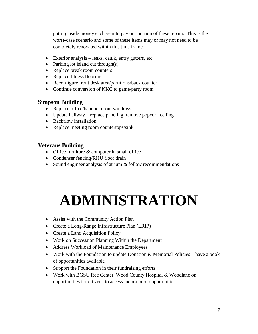putting aside money each year to pay our portion of these repairs. This is the worst-case scenario and some of these items may or may not need to be completely renovated within this time frame.

- Exterior analysis leaks, caulk, entry gutters, etc.
- Parking lot island cut through(s)
- Replace break room counters
- Replace fitness flooring
- Reconfigure front desk area/partitions/back counter
- Continue conversion of KKC to game/party room

#### **Simpson Building**

- Replace office/banquet room windows
- Update hallway replace paneling, remove popcorn ceiling
- Backflow installation
- Replace meeting room countertops/sink

#### **Veterans Building**

- Office furniture & computer in small office
- Condenser fencing/RHU floor drain
- Sound engineer analysis of atrium & follow recommendations

# **ADMINISTRATION**

- Assist with the Community Action Plan
- Create a Long-Range Infrastructure Plan (LRIP)
- Create a Land Acquisition Policy
- Work on Succession Planning Within the Department
- Address Workload of Maintenance Employees
- Work with the Foundation to update Donation & Memorial Policies have a book of opportunities available
- Support the Foundation in their fundraising efforts
- Work with BGSU Rec Center, Wood County Hospital & Woodlane on opportunities for citizens to access indoor pool opportunities